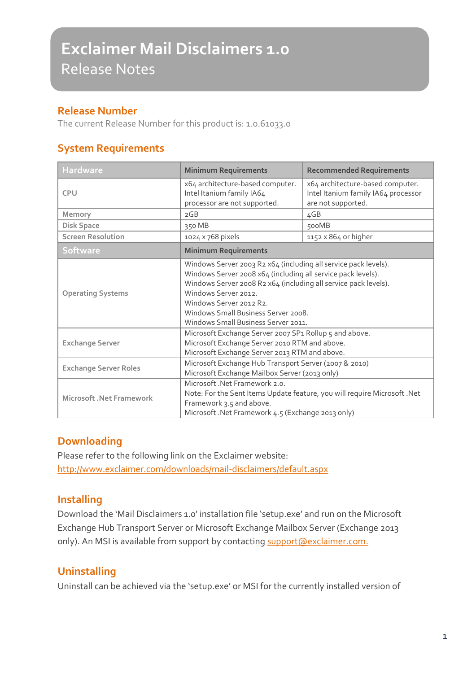# **Exclaimer Mail Disclaimers 1.0** Release Notes

#### **Release Number**

The current Release Number for this product is: 1.0.61033.0

#### **System Requirements**

| <b>Hardware</b>              | <b>Minimum Requirements</b>                                                                                                                                                                                                                                                                                                         | <b>Recommended Requirements</b>                                                               |
|------------------------------|-------------------------------------------------------------------------------------------------------------------------------------------------------------------------------------------------------------------------------------------------------------------------------------------------------------------------------------|-----------------------------------------------------------------------------------------------|
| <b>CPU</b>                   | x64 architecture-based computer.<br>Intel Itanium family IA64<br>processor are not supported.                                                                                                                                                                                                                                       | x64 architecture-based computer.<br>Intel Itanium family IA64 processor<br>are not supported. |
| Memory                       | 2GB                                                                                                                                                                                                                                                                                                                                 | 4GB                                                                                           |
| <b>Disk Space</b>            | 350 MB                                                                                                                                                                                                                                                                                                                              | 500MB                                                                                         |
| <b>Screen Resolution</b>     | 1024 x 768 pixels                                                                                                                                                                                                                                                                                                                   | $1152 \times 864$ or higher                                                                   |
| <b>Software</b>              | <b>Minimum Requirements</b>                                                                                                                                                                                                                                                                                                         |                                                                                               |
| <b>Operating Systems</b>     | Windows Server 2003 R2 x64 (including all service pack levels).<br>Windows Server 2008 x64 (including all service pack levels).<br>Windows Server 2008 R2 x64 (including all service pack levels).<br>Windows Server 2012.<br>Windows Server 2012 R2.<br>Windows Small Business Server 2008.<br>Windows Small Business Server 2011. |                                                                                               |
| <b>Exchange Server</b>       | Microsoft Exchange Server 2007 SP1 Rollup 5 and above.<br>Microsoft Exchange Server 2010 RTM and above.<br>Microsoft Exchange Server 2013 RTM and above.                                                                                                                                                                            |                                                                                               |
| <b>Exchange Server Roles</b> | Microsoft Exchange Hub Transport Server (2007 & 2010)<br>Microsoft Exchange Mailbox Server (2013 only)                                                                                                                                                                                                                              |                                                                                               |
| Microsoft . Net Framework    | Microsoft .Net Framework 2.0.<br>Note: For the Sent Items Update feature, you will require Microsoft .Net<br>Framework 3.5 and above.<br>Microsoft .Net Framework 4.5 (Exchange 2013 only)                                                                                                                                          |                                                                                               |

#### **Downloading**

Please refer to the following link on the Exclaimer website: <http://www.exclaimer.com/downloads/mail-disclaimers/default.aspx>

## **Installing**

Download the 'Mail Disclaimers 1.0' installation file 'setup.exe' and run on the Microsoft Exchange Hub Transport Server or Microsoft Exchange Mailbox Server (Exchange 2013 only). An MSI is available from support by contacting [support@exclaimer.com.](mailto:support@exclaimer.com)

## **Uninstalling**

Uninstall can be achieved via the 'setup.exe' or MSI for the currently installed version of